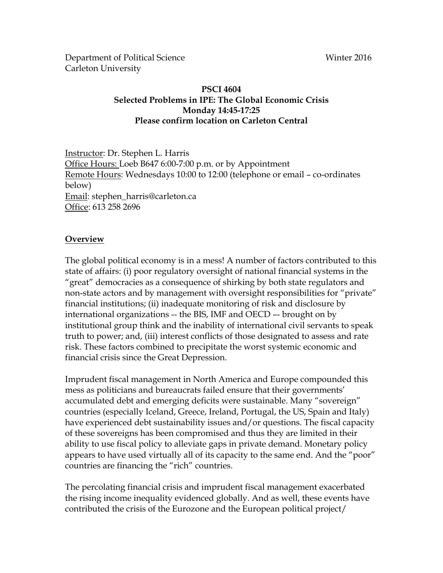Department of Political Science Winter 2016 Carleton University

### **PSCI 4604 Selected Problems in IPE: The Global Economic Crisis Monday 14:45-17:25 Please confirm location on Carleton Central**

Instructor: Dr. Stephen L. Harris Office Hours: Loeb B647 6:00-7:00 p.m. or by Appointment Remote Hours: Wednesdays 10:00 to 12:00 (telephone or email – co-ordinates below) Email: stephen\_harris@carleton.ca Office: 613 258 2696

## **Overview**

The global political economy is in a mess! A number of factors contributed to this state of affairs: (i) poor regulatory oversight of national financial systems in the "great" democracies as a consequence of shirking by both state regulators and non-state actors and by management with oversight responsibilities for "private" financial institutions; (ii) inadequate monitoring of risk and disclosure by international organizations -- the BIS, IMF and OECD –- brought on by institutional group think and the inability of international civil servants to speak truth to power; and, (iii) interest conflicts of those designated to assess and rate risk. These factors combined to precipitate the worst systemic economic and financial crisis since the Great Depression.

Imprudent fiscal management in North America and Europe compounded this mess as politicians and bureaucrats failed ensure that their governments' accumulated debt and emerging deficits were sustainable. Many "sovereign" countries (especially Iceland, Greece, Ireland, Portugal, the US, Spain and Italy) have experienced debt sustainability issues and/or questions. The fiscal capacity of these sovereigns has been compromised and thus they are limited in their ability to use fiscal policy to alleviate gaps in private demand. Monetary policy appears to have used virtually all of its capacity to the same end. And the "poor" countries are financing the "rich" countries.

The percolating financial crisis and imprudent fiscal management exacerbated the rising income inequality evidenced globally. And as well, these events have contributed the crisis of the Eurozone and the European political project/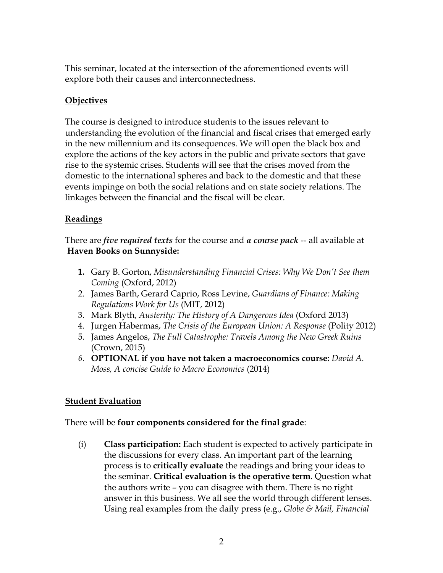This seminar, located at the intersection of the aforementioned events will explore both their causes and interconnectedness.

## **Objectives**

The course is designed to introduce students to the issues relevant to understanding the evolution of the financial and fiscal crises that emerged early in the new millennium and its consequences. We will open the black box and explore the actions of the key actors in the public and private sectors that gave rise to the systemic crises. Students will see that the crises moved from the domestic to the international spheres and back to the domestic and that these events impinge on both the social relations and on state society relations. The linkages between the financial and the fiscal will be clear.

## **Readings**

There are *five required texts* for the course and *a course pack* -- all available at  **Haven Books on Sunnyside:** 

- **1.** Gary B. Gorton, *Misunderstanding Financial Crises: Why We Don't See them Coming* (Oxford, 2012)
- 2. James Barth, Gerard Caprio, Ross Levine, *Guardians of Finance: Making Regulations Work for Us* (MIT, 2012)
- 3. Mark Blyth, *Austerity: The History of A Dangerous Idea* (Oxford 2013)
- 4. Jurgen Habermas, *The Crisis of the European Union: A Response* (Polity 2012)
- 5. James Angelos, *The Full Catastrophe: Travels Among the New Greek Ruins* (Crown, 2015)
- *6.* **OPTIONAL if you have not taken a macroeconomics course:** *David A. Moss, A concise Guide to Macro Economics* (2014)

# **Student Evaluation**

## There will be **four components considered for the final grade**:

(i) **Class participation:** Each student is expected to actively participate in the discussions for every class. An important part of the learning process is to **critically evaluate** the readings and bring your ideas to the seminar. **Critical evaluation is the operative term**. Question what the authors write – you can disagree with them. There is no right answer in this business. We all see the world through different lenses. Using real examples from the daily press (e.g., *Globe & Mail, Financial*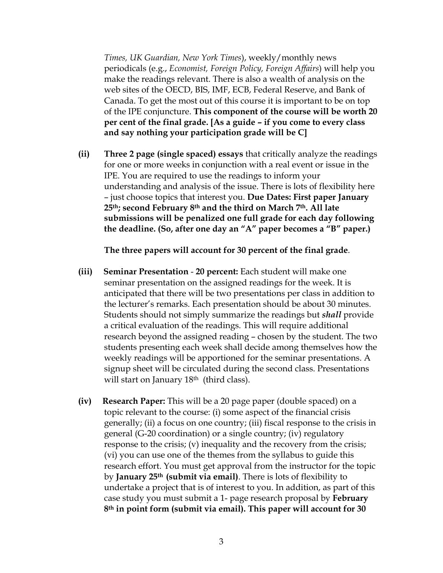*Times, UK Guardian, New York Times*), weekly/monthly news periodicals (e.g., *Economist, Foreign Policy, Foreign Affairs*) will help you make the readings relevant. There is also a wealth of analysis on the web sites of the OECD, BIS, IMF, ECB, Federal Reserve, and Bank of Canada. To get the most out of this course it is important to be on top of the IPE conjuncture. **This component of the course will be worth 20 per cent of the final grade. [As a guide – if you come to every class and say nothing your participation grade will be C]**

**(ii) Three 2 page (single spaced) essays** that critically analyze the readings for one or more weeks in conjunction with a real event or issue in the IPE. You are required to use the readings to inform your understanding and analysis of the issue. There is lots of flexibility here – just choose topics that interest you. **Due Dates: First paper January 25th; second February 8th and the third on March 7th. All late submissions will be penalized one full grade for each day following the deadline. (So, after one day an "A" paper becomes a "B" paper.)** 

**The three papers will account for 30 percent of the final grade**.

- **(iii) Seminar Presentation 20 percent:** Each student will make one seminar presentation on the assigned readings for the week. It is anticipated that there will be two presentations per class in addition to the lecturer's remarks. Each presentation should be about 30 minutes. Students should not simply summarize the readings but *shall* provide a critical evaluation of the readings. This will require additional research beyond the assigned reading – chosen by the student. The two students presenting each week shall decide among themselves how the weekly readings will be apportioned for the seminar presentations. A signup sheet will be circulated during the second class. Presentations will start on January 18<sup>th</sup> (third class).
- **(iv) Research Paper:** This will be a 20 page paper (double spaced) on a topic relevant to the course: (i) some aspect of the financial crisis generally; (ii) a focus on one country; (iii) fiscal response to the crisis in general (G-20 coordination) or a single country; (iv) regulatory response to the crisis; (v) inequality and the recovery from the crisis; (vi) you can use one of the themes from the syllabus to guide this research effort. You must get approval from the instructor for the topic by **January 25th (submit via email)**. There is lots of flexibility to undertake a project that is of interest to you. In addition, as part of this case study you must submit a 1- page research proposal by **February 8th in point form (submit via email). This paper will account for 30**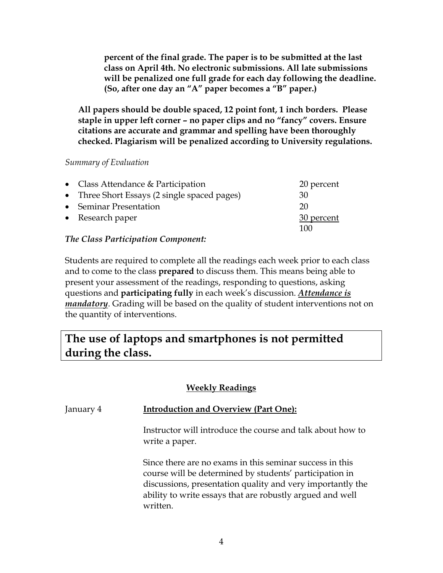**percent of the final grade. The paper is to be submitted at the last class on April 4th. No electronic submissions. All late submissions will be penalized one full grade for each day following the deadline. (So, after one day an "A" paper becomes a "B" paper.)** 

**All papers should be double spaced, 12 point font, 1 inch borders. Please staple in upper left corner – no paper clips and no "fancy" covers. Ensure citations are accurate and grammar and spelling have been thoroughly checked. Plagiarism will be penalized according to University regulations.** 

#### *Summary of Evaluation*

| • Class Attendance & Participation           | 20 percent |
|----------------------------------------------|------------|
| • Three Short Essays (2 single spaced pages) | 30         |
| • Seminar Presentation                       | 20         |
| • Research paper                             | 30 percent |
|                                              | 100        |

#### *The Class Participation Component:*

Students are required to complete all the readings each week prior to each class and to come to the class **prepared** to discuss them. This means being able to present your assessment of the readings, responding to questions, asking questions and **participating fully** in each week's discussion. *Attendance is mandatory*. Grading will be based on the quality of student interventions not on the quantity of interventions.

# **The use of laptops and smartphones is not permitted during the class.**

# **Weekly Readings**

# January 4 **Introduction and Overview (Part One):**  Instructor will introduce the course and talk about how to write a paper. Since there are no exams in this seminar success in this course will be determined by students' participation in discussions, presentation quality and very importantly the ability to write essays that are robustly argued and well written.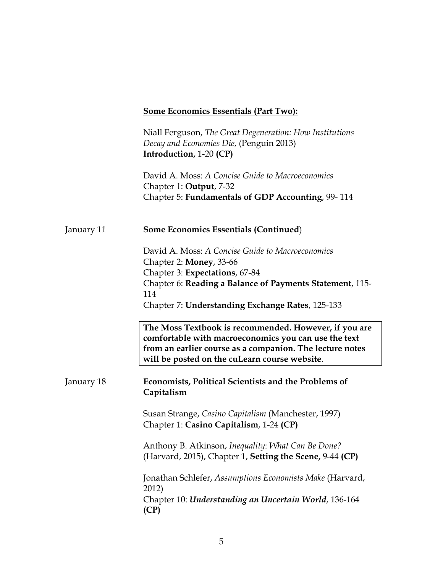# **Some Economics Essentials (Part Two):**

|            | Niall Ferguson, The Great Degeneration: How Institutions<br>Decay and Economies Die, (Penguin 2013)<br>Introduction, 1-20 (CP)                                                                                             |  |  |  |
|------------|----------------------------------------------------------------------------------------------------------------------------------------------------------------------------------------------------------------------------|--|--|--|
|            | David A. Moss: A Concise Guide to Macroeconomics<br>Chapter 1: Output, 7-32<br>Chapter 5: Fundamentals of GDP Accounting, 99-114                                                                                           |  |  |  |
| January 11 | <b>Some Economics Essentials (Continued)</b>                                                                                                                                                                               |  |  |  |
|            | David A. Moss: A Concise Guide to Macroeconomics<br>Chapter 2: Money, 33-66                                                                                                                                                |  |  |  |
|            | Chapter 3: Expectations, 67-84                                                                                                                                                                                             |  |  |  |
|            | Chapter 6: Reading a Balance of Payments Statement, 115-<br>114                                                                                                                                                            |  |  |  |
|            | Chapter 7: Understanding Exchange Rates, 125-133                                                                                                                                                                           |  |  |  |
|            | The Moss Textbook is recommended. However, if you are<br>comfortable with macroeconomics you can use the text<br>from an earlier course as a companion. The lecture notes<br>will be posted on the cuLearn course website. |  |  |  |
| January 18 | <b>Economists, Political Scientists and the Problems of</b><br>Capitalism                                                                                                                                                  |  |  |  |
|            | Susan Strange, Casino Capitalism (Manchester, 1997)<br>Chapter 1: Casino Capitalism, 1-24 (CP)                                                                                                                             |  |  |  |
|            | Anthony B. Atkinson, Inequality: What Can Be Done?<br>(Harvard, 2015), Chapter 1, Setting the Scene, 9-44 (CP)                                                                                                             |  |  |  |
|            | Jonathan Schlefer, Assumptions Economists Make (Harvard,<br>2012)                                                                                                                                                          |  |  |  |
|            | Chapter 10: Understanding an Uncertain World, 136-164<br>(CP)                                                                                                                                                              |  |  |  |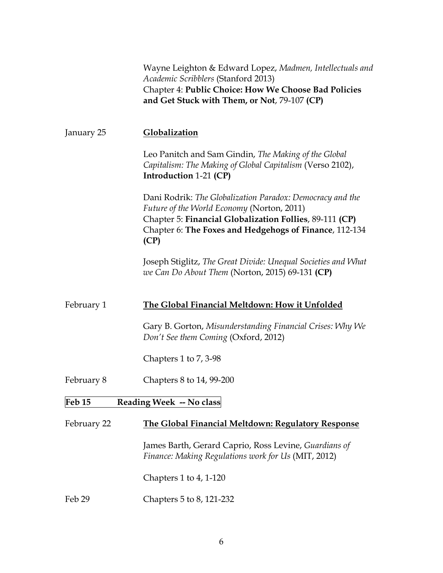|                   | Wayne Leighton & Edward Lopez, Madmen, Intellectuals and<br>Academic Scribblers (Stanford 2013)<br>Chapter 4: Public Choice: How We Choose Bad Policies<br>and Get Stuck with Them, or Not, 79-107 (CP)                              |  |  |  |
|-------------------|--------------------------------------------------------------------------------------------------------------------------------------------------------------------------------------------------------------------------------------|--|--|--|
| January 25        | Globalization                                                                                                                                                                                                                        |  |  |  |
|                   | Leo Panitch and Sam Gindin, The Making of the Global<br>Capitalism: The Making of Global Capitalism (Verso 2102),<br>Introduction 1-21 (CP)                                                                                          |  |  |  |
|                   | Dani Rodrik: The Globalization Paradox: Democracy and the<br>Future of the World Economy (Norton, 2011)<br>Chapter 5: Financial Globalization Follies, 89-111 (CP)<br>Chapter 6: The Foxes and Hedgehogs of Finance, 112-134<br>(CP) |  |  |  |
|                   | Joseph Stiglitz, The Great Divide: Unequal Societies and What<br>we Can Do About Them (Norton, 2015) 69-131 (CP)                                                                                                                     |  |  |  |
| February 1        | The Global Financial Meltdown: How it Unfolded                                                                                                                                                                                       |  |  |  |
|                   | Gary B. Gorton, Misunderstanding Financial Crises: Why We<br>Don't See them Coming (Oxford, 2012)                                                                                                                                    |  |  |  |
|                   | Chapters $1$ to $7, 3-98$                                                                                                                                                                                                            |  |  |  |
| February 8        | Chapters 8 to 14, 99-200                                                                                                                                                                                                             |  |  |  |
| Feb <sub>15</sub> | <b>Reading Week -- No class</b>                                                                                                                                                                                                      |  |  |  |
| February 22       | <u>The Global Financial Meltdown: Regulatory Response</u>                                                                                                                                                                            |  |  |  |
|                   | James Barth, Gerard Caprio, Ross Levine, Guardians of<br>Finance: Making Regulations work for Us (MIT, 2012)                                                                                                                         |  |  |  |
|                   | Chapters $1$ to $4$ , $1-120$                                                                                                                                                                                                        |  |  |  |
| Feb 29            | Chapters 5 to 8, 121-232                                                                                                                                                                                                             |  |  |  |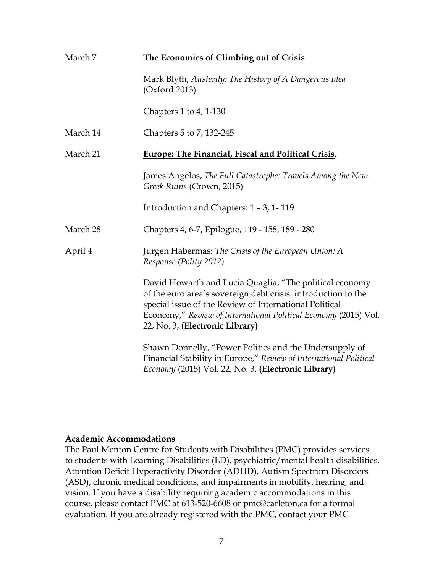| March 7  | The Economics of Climbing out of Crisis                                                                                                                                                                                                                                                  |  |  |  |
|----------|------------------------------------------------------------------------------------------------------------------------------------------------------------------------------------------------------------------------------------------------------------------------------------------|--|--|--|
|          | Mark Blyth, Austerity: The History of A Dangerous Idea<br>(Oxford 2013)                                                                                                                                                                                                                  |  |  |  |
|          | Chapters 1 to 4, 1-130                                                                                                                                                                                                                                                                   |  |  |  |
| March 14 | Chapters 5 to 7, 132-245                                                                                                                                                                                                                                                                 |  |  |  |
| March 21 | <b>Europe: The Financial, Fiscal and Political Crisis,</b>                                                                                                                                                                                                                               |  |  |  |
|          | James Angelos, The Full Catastrophe: Travels Among the New<br>Greek Ruins (Crown, 2015)                                                                                                                                                                                                  |  |  |  |
|          | Introduction and Chapters: 1 – 3, 1-119                                                                                                                                                                                                                                                  |  |  |  |
| March 28 | Chapters 4, 6-7, Epilogue, 119 - 158, 189 - 280                                                                                                                                                                                                                                          |  |  |  |
| April 4  | Jurgen Habermas: The Crisis of the European Union: A<br>Response (Polity 2012)                                                                                                                                                                                                           |  |  |  |
|          | David Howarth and Lucia Quaglia, "The political economy<br>of the euro area's sovereign debt crisis: introduction to the<br>special issue of the Review of International Political<br>Economy," Review of International Political Economy (2015) Vol.<br>22, No. 3, (Electronic Library) |  |  |  |
|          | Shawn Donnelly, "Power Politics and the Undersupply of<br>Financial Stability in Europe," Review of International Political<br>Economy (2015) Vol. 22, No. 3, (Electronic Library)                                                                                                       |  |  |  |

## **Academic Accommodations**

The Paul Menton Centre for Students with Disabilities (PMC) provides services to students with Learning Disabilities (LD), psychiatric/mental health disabilities, Attention Deficit Hyperactivity Disorder (ADHD), Autism Spectrum Disorders (ASD), chronic medical conditions, and impairments in mobility, hearing, and vision. If you have a disability requiring academic accommodations in this course, please contact PMC at 613-520-6608 or pmc@carleton.ca for a formal evaluation. If you are already registered with the PMC, contact your PMC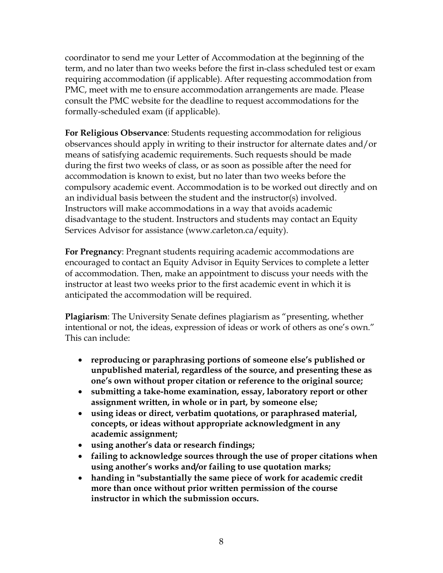coordinator to send me your Letter of Accommodation at the beginning of the term, and no later than two weeks before the first in-class scheduled test or exam requiring accommodation (if applicable). After requesting accommodation from PMC, meet with me to ensure accommodation arrangements are made. Please consult the PMC website for the deadline to request accommodations for the formally-scheduled exam (if applicable).

**For Religious Observance**: Students requesting accommodation for religious observances should apply in writing to their instructor for alternate dates and/or means of satisfying academic requirements. Such requests should be made during the first two weeks of class, or as soon as possible after the need for accommodation is known to exist, but no later than two weeks before the compulsory academic event. Accommodation is to be worked out directly and on an individual basis between the student and the instructor(s) involved. Instructors will make accommodations in a way that avoids academic disadvantage to the student. Instructors and students may contact an Equity Services Advisor for assistance (www.carleton.ca/equity).

**For Pregnancy**: Pregnant students requiring academic accommodations are encouraged to contact an Equity Advisor in Equity Services to complete a letter of accommodation. Then, make an appointment to discuss your needs with the instructor at least two weeks prior to the first academic event in which it is anticipated the accommodation will be required.

**Plagiarism**: The University Senate defines plagiarism as "presenting, whether intentional or not, the ideas, expression of ideas or work of others as one's own." This can include:

- **reproducing or paraphrasing portions of someone else's published or unpublished material, regardless of the source, and presenting these as one's own without proper citation or reference to the original source;**
- **submitting a take-home examination, essay, laboratory report or other assignment written, in whole or in part, by someone else;**
- **using ideas or direct, verbatim quotations, or paraphrased material, concepts, or ideas without appropriate acknowledgment in any academic assignment;**
- **using another's data or research findings;**
- **failing to acknowledge sources through the use of proper citations when using another's works and/or failing to use quotation marks;**
- **handing in "substantially the same piece of work for academic credit more than once without prior written permission of the course instructor in which the submission occurs.**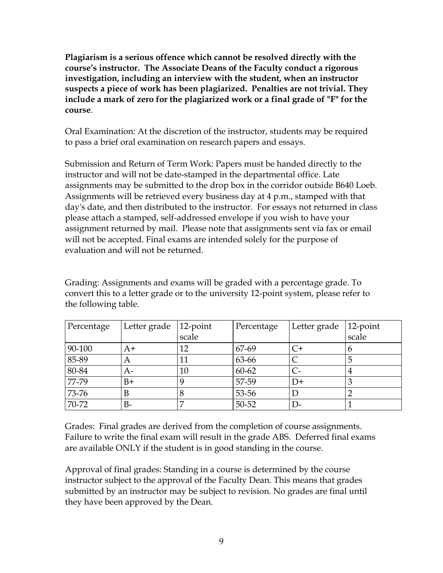**Plagiarism is a serious offence which cannot be resolved directly with the course's instructor. The Associate Deans of the Faculty conduct a rigorous investigation, including an interview with the student, when an instructor suspects a piece of work has been plagiarized. Penalties are not trivial. They include a mark of zero for the plagiarized work or a final grade of "F" for the course**.

Oral Examination: At the discretion of the instructor, students may be required to pass a brief oral examination on research papers and essays.

Submission and Return of Term Work: Papers must be handed directly to the instructor and will not be date-stamped in the departmental office. Late assignments may be submitted to the drop box in the corridor outside B640 Loeb. Assignments will be retrieved every business day at 4 p.m., stamped with that day's date, and then distributed to the instructor. For essays not returned in class please attach a stamped, self-addressed envelope if you wish to have your assignment returned by mail. Please note that assignments sent via fax or email will not be accepted. Final exams are intended solely for the purpose of evaluation and will not be returned.

Grading: Assignments and exams will be graded with a percentage grade. To convert this to a letter grade or to the university 12-point system, please refer to the following table.

| Percentage | Letter grade | 12-point | Percentage | Letter grade | 12-point |
|------------|--------------|----------|------------|--------------|----------|
|            |              | scale    |            |              | scale    |
| 90-100     | A+           | 12       | 67-69      |              | n        |
| 85-89      | A            | 11       | 63-66      |              |          |
| 80-84      | A-           | 10       | 60-62      |              |          |
| 77-79      | $B+$         |          | 57-59      | D+           |          |
| 73-76      | B            | O        | 53-56      |              |          |
| 70-72      | B-           |          | 50-52      | $\Gamma$     |          |

Grades: Final grades are derived from the completion of course assignments. Failure to write the final exam will result in the grade ABS. Deferred final exams are available ONLY if the student is in good standing in the course.

Approval of final grades: Standing in a course is determined by the course instructor subject to the approval of the Faculty Dean. This means that grades submitted by an instructor may be subject to revision. No grades are final until they have been approved by the Dean.